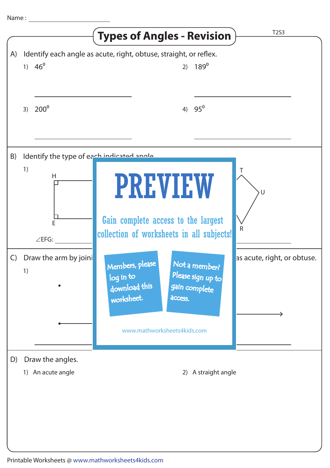|              |                                                                            | <b>Types of Angles - Revision</b>                                                                                                                            | <b>T2S3</b>                 |
|--------------|----------------------------------------------------------------------------|--------------------------------------------------------------------------------------------------------------------------------------------------------------|-----------------------------|
| A)           | 1) $46^{\circ}$                                                            | Identify each angle as acute, right, obtuse, straight, or reflex.<br>2) $189^{\circ}$                                                                        |                             |
|              | $200^\circ$<br>3)                                                          | $95^{\circ}$<br>4)                                                                                                                                           |                             |
| B)           | Identify the type of each indicated angle<br>1)<br>H<br>E<br>$\angle$ EFG: | <b>PREVIEW</b><br>$\cup$<br>Gain complete access to the largest<br>$\mathsf{R}$<br>collection of worksheets in all subjects!                                 |                             |
| $\mathsf{C}$ | Draw the arm by joini<br>1)                                                | Not a member?<br>Members, please<br>Please sign up to<br>log in to<br>download this<br>gain complete<br>worksheet.<br>access.<br>www.mathworksheets4kids.com | as acute, right, or obtuse. |
| D)           | Draw the angles.<br>1) An acute angle                                      | 2) A straight angle                                                                                                                                          |                             |